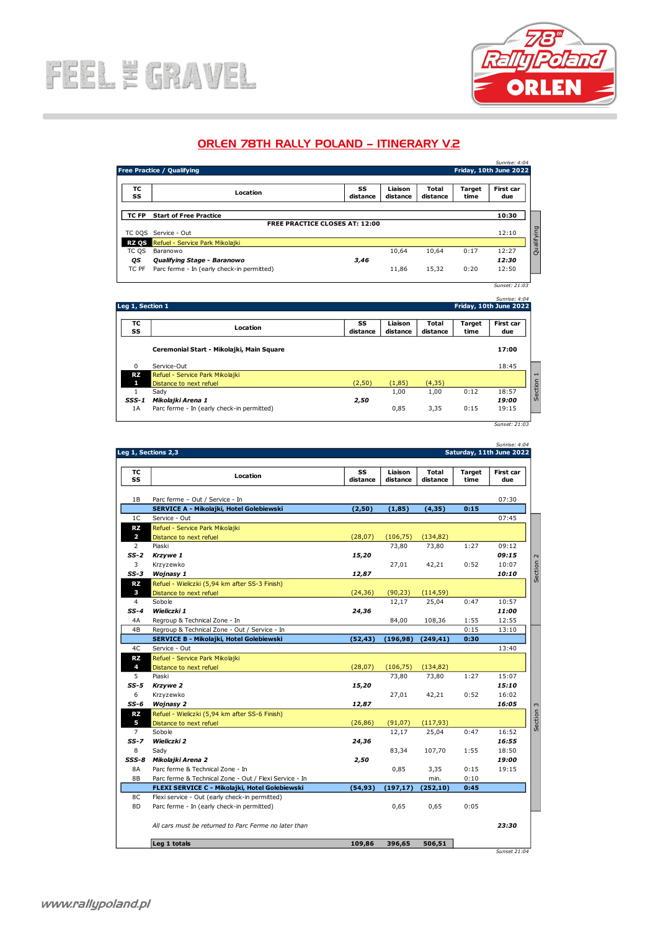

## ORLEN 78TH RALLY POLAND – ITINERARY V.2

| Sunrise: 4:04<br><b>Free Practice / Qualifying</b><br>Friday, 10th June 2022 |                                            |                                       |                     |                   |                       |                  |
|------------------------------------------------------------------------------|--------------------------------------------|---------------------------------------|---------------------|-------------------|-----------------------|------------------|
| ТC<br>SS                                                                     | Location                                   | SS<br>distance                        | Liaison<br>distance | Total<br>distance | <b>Target</b><br>time | First car<br>due |
| TC FP                                                                        | <b>Start of Free Practice</b>              |                                       |                     |                   |                       | 10:30            |
|                                                                              |                                            | <b>FREE PRACTICE CLOSES AT: 12:00</b> |                     |                   |                       |                  |
| TC 0QS                                                                       | Service - Out                              |                                       |                     |                   |                       | 12:10            |
|                                                                              | RZ OS Refuel - Service Park Mikolaiki      |                                       |                     |                   |                       |                  |
| TC QS                                                                        | Baranowo                                   |                                       | 10.64               | 10,64             | 0:17                  | 12:27            |
| QS                                                                           | Qualifying Stage - Baranowo                | 3,46                                  |                     |                   |                       | 12:30            |
| TC PF                                                                        | Parc ferme - In (early check-in permitted) |                                       | 11,86               | 15,32             | 0:20                  | 12:50            |
|                                                                              |                                            |                                       |                     |                   |                       | Sunset: 21:03    |

|              | Leg 1, Section 1                                           |                |                     |                          |                | Friday, 10th June 2022   |
|--------------|------------------------------------------------------------|----------------|---------------------|--------------------------|----------------|--------------------------|
| ТC<br>SS     | Location                                                   | SS<br>distance | Liaison<br>distance | Total<br>distance        | Target<br>time | First car<br>due         |
|              | Ceremonial Start - Mikolajki, Main Square                  |                |                     |                          |                | 17:00                    |
| $\Omega$     | Service-Out                                                |                |                     |                          |                | 18:45                    |
| RZ.<br>1     | Refuel - Service Park Mikolajki<br>Distance to next refuel | (2, 50)        | (1, 85)             | (4, 35)                  |                |                          |
| 1<br>$SSS-1$ | Sady<br>Mikolajki Arena 1                                  | 2,50           | 1,00                | 1,00                     | 0:12           | 18:57<br>19:00           |
| 1A           | Parc ferme - In (early check-in permitted)                 |                | 0,85                | 3,35                     | 0:15           | 19:15                    |
|              |                                                            |                |                     |                          |                | Sunset: 21:03            |
|              |                                                            |                |                     |                          |                | Sunrise: 4:04            |
|              | Leg 1, Sections 2,3                                        |                |                     |                          |                | Saturday, 11th June 2022 |
| тс<br>SS     | Location                                                   | SS<br>distance | Liaison<br>distance | <b>Total</b><br>distance | Target<br>time | First car<br>due         |

|                         | Sunrise: 4:04<br>Saturday, 11th June 2022              |                |                     |                   |                       |                  |
|-------------------------|--------------------------------------------------------|----------------|---------------------|-------------------|-----------------------|------------------|
|                         | Leg 1, Sections 2,3                                    |                |                     |                   |                       |                  |
| тc<br>SS                | Location                                               | SS<br>distance | Liaison<br>distance | Total<br>distance | <b>Target</b><br>time | First car<br>due |
| 1B                      | Parc ferme - Out / Service - In                        |                |                     |                   |                       | 07:30            |
|                         | SERVICE A - Mikolajki, Hotel Golebiewski               | (2,50)         | (1, 85)             | (4, 35)           | 0:15                  |                  |
| 1C                      | Service - Out                                          |                |                     |                   |                       | 07:45            |
| RZ.                     | Refuel - Service Park Mikolajki                        |                |                     |                   |                       |                  |
| $\overline{\mathbf{z}}$ | Distance to next refuel                                | (28,07)        | (106, 75)           | (134, 82)         |                       |                  |
| 2                       | Piaski                                                 |                | 73,80               | 73,80             | 1:27                  | 09:12            |
| SS-2                    | Krzywe 1                                               | 15,20          |                     |                   |                       | 09:15            |
| 3                       | Krzyzewko                                              |                | 27,01               | 42,21             | 0:52                  | 10:07            |
| $SS-3$                  | Wojnasy 1                                              | 12,87          |                     |                   |                       | 10:10            |
| <b>RZ</b>               | Refuel - Wieliczki (5,94 km after SS-3 Finish)         |                |                     |                   |                       |                  |
| з                       | Distance to next refuel                                | (24, 36)       | (90, 23)            | (114, 59)         |                       |                  |
| $\overline{4}$          | Sobole                                                 |                | 12,17               | 25,04             | 0:47                  | 10:57            |
| $SS-4$                  | Wieliczki 1                                            | 24,36          |                     |                   |                       | 11:00            |
| 4A                      | Regroup & Technical Zone - In                          |                | 84,00               | 108,36            | 1:55                  | 12:55            |
| 4B                      | Regroup & Technical Zone - Out / Service - In          |                |                     |                   | 0:15                  | 13:10            |
|                         | SERVICE B - Mikolajki, Hotel Golebiewski               | (52, 43)       | (196,98)            | (249, 41)         | 0:30                  |                  |
| 4C                      | Service - Out                                          |                |                     |                   |                       | 13:40            |
| RZ.                     | Refuel - Service Park Mikolajki                        |                |                     |                   |                       |                  |
| 4                       | Distance to next refuel                                | (28,07)        | (106, 75)           | (134, 82)         |                       |                  |
| 5                       | Piaski                                                 |                | 73,80               | 73,80             | 1:27                  | 15:07            |
| $SS-5$                  | Krzywe 2                                               | 15,20          |                     |                   |                       | 15:10            |
| 6                       | Krzyzewko                                              |                | 27,01               | 42,21             | 0:52                  | 16:02            |
| SS-6                    | <b>Wojnasy 2</b>                                       | 12,87          |                     |                   |                       | 16:05            |
| RZ.                     | Refuel - Wieliczki (5,94 km after SS-6 Finish)         |                |                     |                   |                       |                  |
| 5                       | Distance to next refuel                                | (26, 86)       | (91, 07)            | (117, 93)         |                       |                  |
| $\overline{7}$          | Sobole                                                 |                | 12,17               | 25,04             | 0:47                  | 16:52            |
| SS-7                    | Wieliczki 2                                            | 24,36          |                     |                   |                       | 16:55            |
| 8                       | Sady                                                   |                | 83,34               | 107,70            | 1:55                  | 18:50            |
| SSS-8                   | Mikolajki Arena 2                                      | 2,50           |                     |                   |                       | 19:00            |
| 8A                      | Parc ferme & Technical Zone - In                       |                | 0,85                | 3,35              | 0:15                  | 19:15            |
| 8B                      | Parc ferme & Technical Zone - Out / Flexi Service - In |                |                     | min.              | 0:10                  |                  |
|                         | FLEXI SERVICE C - Mikolajki, Hotel Golebiewski         | (54, 93)       | (197, 17)           | (252, 10)         | 0:45                  |                  |
| 8C                      | Flexi service - Out (early check-in permitted)         |                |                     |                   |                       |                  |
| 8D                      | Parc ferme - In (early check-in permitted)             |                | 0,65                | 0,65              | 0:05                  |                  |
|                         | All cars must be returned to Parc Ferme no later than  |                |                     |                   |                       | 23:30            |
|                         | Leg 1 totals                                           | 109,86         | 396,65              | 506,51            |                       |                  |
|                         |                                                        |                |                     |                   |                       | Sunset 21:04     |